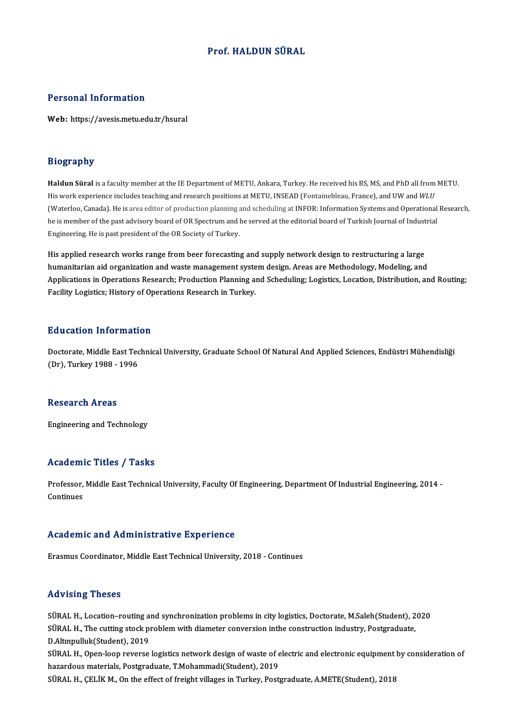# Prof.HALDUN SÜRAL

## Personal Information

Web: https://avesis.metu.edu.tr/hsural

### Biography

**Haldun Süral** is a faculty member at the IE Department of METU, Ankara, Turkey. He received his BS, MS, and PhD all from METU. His work experience includesteaching and research positions at METU, INSEAD (Fontainebleau, France), and UW and *WLU* (Waterloo, Canada). He is area editor of production planning and scheduling at INFOR: Information Systems and Operational Research, he is member of the past advisory board of OR Spectrum and he served at the editorial board of Turkish Journal of Industrial Engineering. He is past president of the OR Society of Turkey.

His applied research works range from beer forecasting and supply network design to restructuring a large humanitarian aid organization and waste management system design. Areas are Methodology, Modeling, and His applied research works range from beer forecasting and supply network design to restructuring a large<br>humanitarian aid organization and waste management system design. Areas are Methodology, Modeling, and<br>Applications humanitarian aid organization and waste management syste<br>Applications in Operations Research; Production Planning a<br>Facility Logistics; History of Operations Research in Turkey. Facility Logistics; History of Operations Research in Turkey.<br>Education Information

E**ducation Information**<br>Doctorate, Middle East Technical University, Graduate School Of Natural And Applied Sciences, Endüstri Mühendisliği<br>(Dr.), Turkay 1988, 1996 Matemedia 111101<br>Doctorate, Middle East Tec<br>(Dr), Turkey 1988 - 1996 (Dr), Turkey 1988 - 1996<br>Research Areas

Engineering and Technology

### Academic Titles / Tasks

Academic Titles / Tasks<br>Professor, Middle East Technical University, Faculty Of Engineering, Department Of Industrial Engineering, 2014 -<br>Centinues Professor,<br>Continues Academic and Administrative Experience

Erasmus Coordinator, Middle East Technical University, 2018 - Continues

## Advising Theses

SÜRAL H., Location-routing and synchronization problems in city logistics, Doctorate, M.Saleh(Student), 2020 SÜRAL H., Location–routing and synchronization problems in city logistics, Doctorate, M.Saleh(Student), 2<br>SÜRAL H., The cutting stock problem with diameter conversion inthe construction industry, Postgraduate,<br>D.Altmpyllyk SÜRAL H., Location-routing a:<br>SÜRAL H., The cutting stock pr<br>D.Altınpulluk(Student), 2019<br>SÜRAL H. Open leen reverse SÜRAL H., The cutting stock problem with diameter conversion inthe construction industry, Postgraduate,<br>D.Altınpulluk(Student), 2019<br>SÜRAL H., Open-loop reverse logistics network design of waste of electric and electronic D.Altmpulluk(Student), 2019<br>SÜRAL H., Open-loop reverse logistics network design of waste of electric and electronic equipment by consideration of<br>hazardous materials, Postgraduate, T.Mohammadi(Student), 2019

SÜRAL H., ÇELİK M., On the effect of freight villages in Turkey, Postgraduate, A.METE(Student), 2018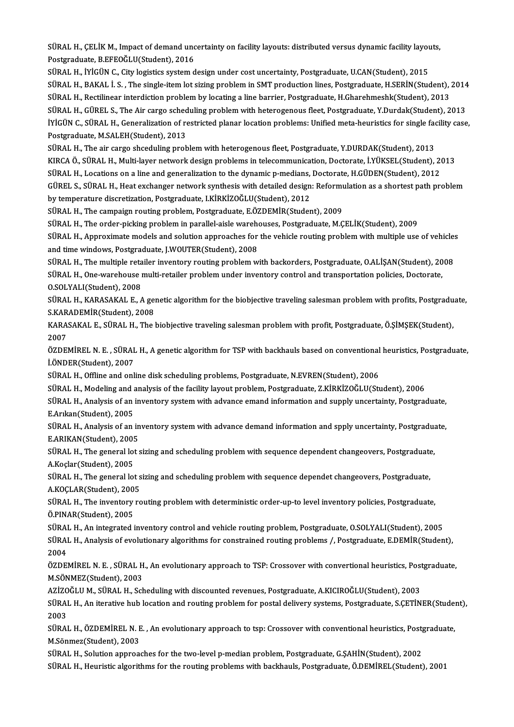SÜRAL H., ÇELİK M., Impact of demand uncertainty on facility layouts: distributed versus dynamic facility layouts,<br>Restanaduate, B.EEOČI U(Student), 2016 SÜRAL H., ÇELİK M., Impact of demand unc<br>Postgraduate, B.EFEOĞLU(Student), 2016<br>SÜRAL H., İVİÇÜN G., Gity logistice system d SÜRAL H., ÇELİK M., Impact of demand uncertainty on facility layouts: distributed versus dynamic facility layou<br>Postgraduate, B.EFEOĞLU(Student), 2016<br>SÜRAL H., İYİGÜN C., City logistics system design under cost uncertaint

Postgraduate, B.EFEOĞLU(Student), 2016<br>SÜRAL H., İYİGÜN C., City logistics system design under cost uncertainty, Postgraduate, U.CAN(Student), 2015<br>SÜRAL H., BAKAL İ. S. , The single-item lot sizing problem in SMT producti SÜRAL H., İYİGÜN C., City logistics system design under cost uncertainty, Postgraduate, U.CAN(Student), 2015<br>SÜRAL H., BAKAL İ. S. , The single-item lot sizing problem in SMT production lines, Postgraduate, H.SERİN(Student SÜRAL H., BAKAL İ. S. , The single-item lot sizing problem in SMT production lines, Postgraduate, H.SERİN(Student), 2014<br>SÜRAL H., Rectilinear interdiction problem by locating a line barrier, Postgraduate, H.Gharehmeshk(St SÜRAL H., Rectilinear interdiction problem by locating a line barrier, Postgraduate, H.Gharehmeshk(Student), 2013<br>SÜRAL H., GÜREL S., The Air cargo scheduling problem with heterogenous fleet, Postgraduate, Y.Durdak(Student SÜRAL H., GÜREL S., The Air cargo sched<br>İYİGÜN C., SÜRAL H., Generalization of re<br>Postgraduate, M.SALEH(Student), 2013<br>SÜRAL H., The air cargo sheeduling prob IYIGÜN C., SÜRAL H., Generalization of restricted planar location problems: Unified meta-heuristics for single factors of the protocol.<br>Postgraduate, M.SALEH(Student), 2013<br>SÜRAL H., The air cargo shceduling problem with h

Postgraduate, M.SALEH(Student), 2013<br>SÜRAL H., The air cargo shceduling problem with heterogenous fleet, Postgraduate, Y.DURDAK(Student), 2013<br>KIRCA Ö., SÜRAL H., Multi-layer network design problems in telecommunication, D SÜRAL H., The air cargo shceduling problem with heterogenous fleet, Postgraduate, Y.DURDAK(Student), 2013<br>KIRCA Ö., SÜRAL H., Multi-layer network design problems in telecommunication, Doctorate, İ.YÜKSEL(Student), 20<br>SÜRAL KIRCA Ö., SÜRAL H., Multi-layer network design problems in telecommunication, Doctorate, İ.YÜKSEL(Student), 2013<br>SÜRAL H., Locations on a line and generalization to the dynamic p-medians, Doctorate, H.GÜDEN(Student), 2012<br> SÜRAL H., Locations on a line and generalization to the dynamic p-medians, Doctorate, H.GÜDEN(Student), 2012<br>GÜREL S., SÜRAL H., Heat exchanger network synthesis with detailed design: Reformulation as a shortest path probl by temperature discretization, Postgraduate, I.KİRKİZOĞLU(Student), 2012<br>SÜRAL H., The campaign routing problem, Postgraduate, E.ÖZDEMİR(Student), 2009<br>SÜRAL H., The order-picking problem in parallel-aisle warehouses, Post

SÜRAL H., The campaign routing problem, Postgraduate, E.ÖZDEMİR(Student), 2009

SÜRAL H., The campaign routing problem, Postgraduate, E.ÖZDEMİR(Student), 2009<br>SÜRAL H., The order-picking problem in parallel-aisle warehouses, Postgraduate, M.ÇELİK(Student), 2009<br>SÜRAL H., Approximate models and solutio SÜRAL H., The order-picking problem in parallel-aisle warehe<br>SÜRAL H., Approximate models and solution approaches for<br>and time windows, Postgraduate, J.WOUTER(Student), 2008<br>SÜRAL H., The multiple retailer inventory reutin SÜRAL H., Approximate models and solution approaches for the vehicle routing problem with multiple use of vehicle:<br>and time windows, Postgraduate, J.WOUTER(Student), 2008<br>SÜRAL H., The multiple retailer inventory routing p

and time windows, Postgraduate, J.WOUTER(Student), 2008<br>SÜRAL H., The multiple retailer inventory routing problem with backorders, Postgraduate, O.ALİŞAN(Student), 20<br>SÜRAL H., One-warehouse multi-retailer problem under in SÜRAL H., The multiple reta<br>SÜRAL H., One-warehouse i<br>O.SOLYALI(Student), 2008<br>SÜRAL H. KARASAKAL E. A SÜRAL H., One-warehouse multi-retailer problem under inventory control and transportation policies, Doctorate,<br>O.SOLYALI(Student), 2008<br>SÜRAL H., KARASAKAL E., A genetic algorithm for the biobjective traveling salesman pro

O.SOLYALI(Student), 2008<br>SÜRAL H., KARASAKAL E., A genetic algorithm for the biobjective traveling salesman problem with profits, Postgraduate,<br>S.KARADEMİR(Student), 2008 SÜRAL H., KARASAKAL E., A genetic algorithm for the biobjective traveling salesman problem with profits, Postgradu<br>S.KARADEMİR(Student), 2008<br>KARASAKAL E., SÜRAL H., The biobjective traveling salesman problem with profit,

S.KAR<br>KARA<br>2007<br>ÖZDEL KARASAKAL E., SÜRAL H., The biobjective traveling salesman problem with profit, Postgraduate, Ö.ŞİMŞEK(Student),<br>2007<br>ÖZDEMİREL N. E. , SÜRAL H., A genetic algorithm for TSP with backhauls based on conventional heuristics,

2007<br>ÖZDEMİREL N. E. , SÜRAL<br>İ.ÖNDER(Student), 2007<br>SÜRAL H. Offline and onl ÖZDEMİREL N. E. , SÜRAL H., A genetic algorithm for TSP with backhauls based on conventional<br>İ.ÖNDER(Student), 2007<br>SÜRAL H., Offline and online disk scheduling problems, Postgraduate, N.EVREN(Student), 2006<br>SÜRAL H., Offl İ.ÖNDER(Student), 2007<br>SÜRAL H., Offline and online disk scheduling problems, Postgraduate, N.EVREN(Student), 2006<br>SÜRAL H., Modeling and analysis of the facility layout problem, Postgraduate, Z.KİRKİZOĞLU(Student), 2006

SÜRAL H., Offline and online disk scheduling problems, Postgraduate, N.EVREN(Student), 2006<br>SÜRAL H., Modeling and analysis of the facility layout problem, Postgraduate, Z.KİRKİZOĞLU(Student), 2006<br>SÜRAL H., Analysis of an SÜRAL H., Modeling and a<br>SÜRAL H., Analysis of an<br>E.Arıkan(Student), 2005<br>SÜRAL H., Analysis of an SÜRAL H., Analysis of an inventory system with advance emand information and supply uncertainty, Postgraduate,<br>E.Arıkan(Student), 2005<br>SÜRAL H., Analysis of an inventory system with advance demand information and spply unc

E.Arıkan(Student), 2005<br>SÜRAL H., Analysis of an in<br>E.ARIKAN(Student), 2005<br>SÜRAL H., The seneral late SÜRAL H., Analysis of an inventory system with advance demand information and spply uncertainty, Postgradua<br>E.ARIKAN(Student), 2005<br>SÜRAL H., The general lot sizing and scheduling problem with sequence dependent changeover

E.ARIKAN(Student), 2005<br>SÜRAL H., The general lot<br>A.Koçlar(Student), 2005<br>SÜRAL H., The general lot SÜRAL H., The general lot sizing and scheduling problem with sequence dependent changeovers, Postgraduate<br>A.Koçlar(Student), 2005<br>SÜRAL H., The general lot sizing and scheduling problem with sequence dependet changeovers,

A.Koçlar(Student), 2005<br>SÜRAL H., The general lot sizing and scheduling problem with sequence dependet changeovers, Postgraduate,<br>A.KOCLAR(Student). 2005

SÜRAL H., The inventory routing problem with deterministic order-up-to level inventory policies, Postgraduate, Ö.PINAR(Student),2005 SÜRAL H., The inventory routing problem with deterministic order-up-to level inventory policies, Postgraduate,<br>Ö.PINAR(Student), 2005<br>SÜRAL H., An integrated inventory control and vehicle routing problem, Postgraduate, O.S

SÜRAL H., Analysis of evolutionary algorithms for constrained routing problems /, Postgraduate, E.DEMİR(Student),<br>2004 SÜRAI<br>SÜRAI<br>2004<br>ÖZDEI SÜRAL H., Analysis of evolutionary algorithms for constrained routing problems /, Postgraduate, E.DEMİR(Student),<br>2004<br>ÖZDEMİREL N. E. , SÜRAL H., An evolutionary approach to TSP: Crossover with convertional heuristics, Po

2004<br>ÖZDEMİREL N. E. , SÜRAL H<br>M.SÖNMEZ(Student), 2003<br>AZİZOČLU M. SÜRAL H. Sek ÖZDEMİREL N. E. , SÜRAL H., An evolutionary approach to TSP: Crossover with convertional heuristics, Post<br>M.SÖNMEZ(Student), 2003<br>AZİZOĞLU M., SÜRAL H., Scheduling with discounted revenues, Postgraduate, A.KICIROĞLU(Studen

M.SÖNMEZ(Student), 2003<br>AZİZOĞLU M., SÜRAL H., Scheduling with discounted revenues, Postgraduate, A.KICIROĞLU(Student), 2003<br>SÜRAL H., An iterative hub location and routing problem for postal delivery systems, Postgraduate AZİZOĞLU M., SÜRAL H., Scheduling with discounted revenues, Postgraduate, A.KICIROĞLU(Student), 2003<br>SÜRAL H., An iterative hub location and routing problem for postal delivery systems, Postgraduate, S.ÇETİN<br>2003 SÜRAL H., An iterative hub location and routing problem for postal delivery systems, Postgraduate, S.ÇETİNER(Stude)<br>2003<br>SÜRAL H., ÖZDEMİREL N. E. , An evolutionary approach to tsp: Crossover with conventional heuristics,

2003<br>SÜRAL H., ÖZDEMİREL N. E<br>M.Sönmez(Student), 2003<br>SÜRAL H. Selutian annrasa SÜRAL H., ÖZDEMİREL N. E. , An evolutionary approach to tsp: Crossover with conventional heuristics, Postg<br>M.Sönmez(Student), 2003<br>SÜRAL H., Solution approaches for the two-level p-median problem, Postgraduate, G.ŞAHİN(Stu

M.Sönmez(Student), 2003<br>SÜRAL H., Solution approaches for the two-level p-median problem, Postgraduate, G.ŞAHİN(Student), 2002<br>SÜRAL H., Heuristic algorithms for the routing problems with backhauls, Postgraduate, Ö.DEMİREL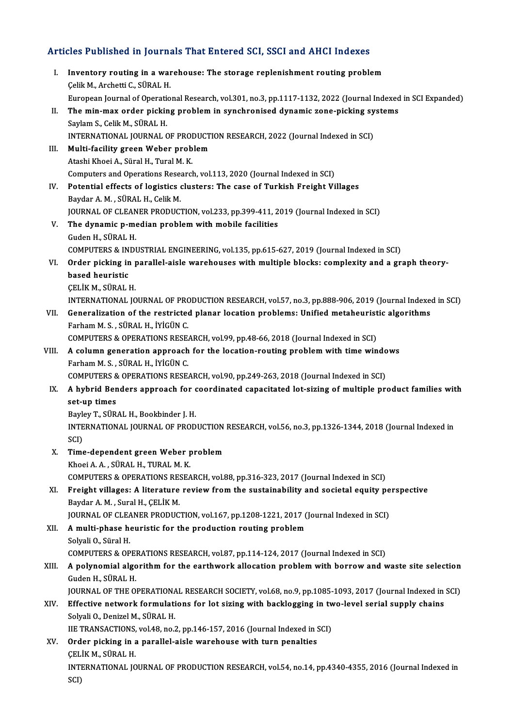# Articles Published in Journals That Entered SCI, SSCI and AHCI Indexes

|       | Articles Published in Journals That Entered SCI, SSCI and AHCI Indexes                                                                                                                                     |
|-------|------------------------------------------------------------------------------------------------------------------------------------------------------------------------------------------------------------|
| Ι.    | Inventory routing in a warehouse: The storage replenishment routing problem<br>Çelik M., Archetti C., SÜRAL H.                                                                                             |
|       | European Journal of Operational Research, vol.301, no.3, pp.1117-1132, 2022 (Journal Indexed in SCI Expanded)                                                                                              |
| П.    | The min-max order picking problem in synchronised dynamic zone-picking systems<br>Saylam S., Celik M., SÜRAL H.                                                                                            |
|       | INTERNATIONAL JOURNAL OF PRODUCTION RESEARCH, 2022 (Journal Indexed in SCI)                                                                                                                                |
| Ш.    | Multi-facility green Weber problem                                                                                                                                                                         |
|       | Atashi Khoei A., Süral H., Tural M. K.<br>Computers and Operations Research, vol.113, 2020 (Journal Indexed in SCI)                                                                                        |
| IV.   | Potential effects of logistics clusters: The case of Turkish Freight Villages                                                                                                                              |
|       | Baydar A. M., SÜRAL H., Celik M.                                                                                                                                                                           |
| V.    | JOURNAL OF CLEANER PRODUCTION, vol.233, pp.399-411, 2019 (Journal Indexed in SCI)<br>The dynamic p-median problem with mobile facilities                                                                   |
|       | Guden H., SÜRAL H.                                                                                                                                                                                         |
|       | COMPUTERS & INDUSTRIAL ENGINEERING, vol.135, pp.615-627, 2019 (Journal Indexed in SCI)                                                                                                                     |
| VI.   | Order picking in parallel-aisle warehouses with multiple blocks: complexity and a graph theory-                                                                                                            |
|       | based heuristic<br>ÇELİK M., SÜRAL H.                                                                                                                                                                      |
|       | INTERNATIONAL JOURNAL OF PRODUCTION RESEARCH, vol.57, no.3, pp.888-906, 2019 (Journal Indexed in SCI)                                                                                                      |
| VII.  | Generalization of the restricted planar location problems: Unified metaheuristic algorithms                                                                                                                |
|       | Farham M. S., SÜRAL H., İYİGÜN C.                                                                                                                                                                          |
| VIII. | COMPUTERS & OPERATIONS RESEARCH, vol.99, pp.48-66, 2018 (Journal Indexed in SCI)<br>A column generation approach for the location-routing problem with time windows                                        |
|       | Farham M. S., SÜRAL H., İYİGÜN C.                                                                                                                                                                          |
|       | COMPUTERS & OPERATIONS RESEARCH, vol.90, pp.249-263, 2018 (Journal Indexed in SCI)                                                                                                                         |
| IX.   | A hybrid Benders approach for coordinated capacitated lot-sizing of multiple product families with<br>set-up times                                                                                         |
|       | Bayley T., SÜRAL H., Bookbinder J. H.                                                                                                                                                                      |
|       | INTERNATIONAL JOURNAL OF PRODUCTION RESEARCH, vol.56, no.3, pp.1326-1344, 2018 (Journal Indexed in<br>SCI)                                                                                                 |
| X.    | Time-dependent green Weber problem                                                                                                                                                                         |
|       | Khoei A. A., SÜRAL H., TURAL M. K.                                                                                                                                                                         |
| XI.   | COMPUTERS & OPERATIONS RESEARCH, vol.88, pp.316-323, 2017 (Journal Indexed in SCI)<br>Freight villages: A literature review from the sustainability and societal equity perspective                        |
|       | Baydar A. M., Sural H., CELIK M.                                                                                                                                                                           |
|       | JOURNAL OF CLEANER PRODUCTION, vol.167, pp.1208-1221, 2017 (Journal Indexed in SCI)                                                                                                                        |
| XII.  | A multi-phase heuristic for the production routing problem                                                                                                                                                 |
|       | Solyali O., Süral H.<br>COMPUTERS & OPERATIONS RESEARCH, vol.87, pp.114-124, 2017 (Journal Indexed in SCI)                                                                                                 |
| XIII. | A polynomial algorithm for the earthwork allocation problem with borrow and waste site selection                                                                                                           |
|       | Guden H., SÜRAL H.                                                                                                                                                                                         |
| XIV.  | JOURNAL OF THE OPERATIONAL RESEARCH SOCIETY, vol.68, no.9, pp.1085-1093, 2017 (Journal Indexed in SCI)<br>Effective network formulations for lot sizing with backlogging in two-level serial supply chains |
|       | Solyali O., Denizel M., SÜRAL H.                                                                                                                                                                           |
|       | IIE TRANSACTIONS, vol.48, no.2, pp.146-157, 2016 (Journal Indexed in SCI)                                                                                                                                  |
| XV.   | Order picking in a parallel-aisle warehouse with turn penalties                                                                                                                                            |
|       | ÇELİK M., SÜRAL H.<br>INTERNATIONAL JOURNAL OF PRODUCTION RESEARCH, vol.54, no.14, pp.4340-4355, 2016 (Journal Indexed in                                                                                  |
|       | SCI)                                                                                                                                                                                                       |
|       |                                                                                                                                                                                                            |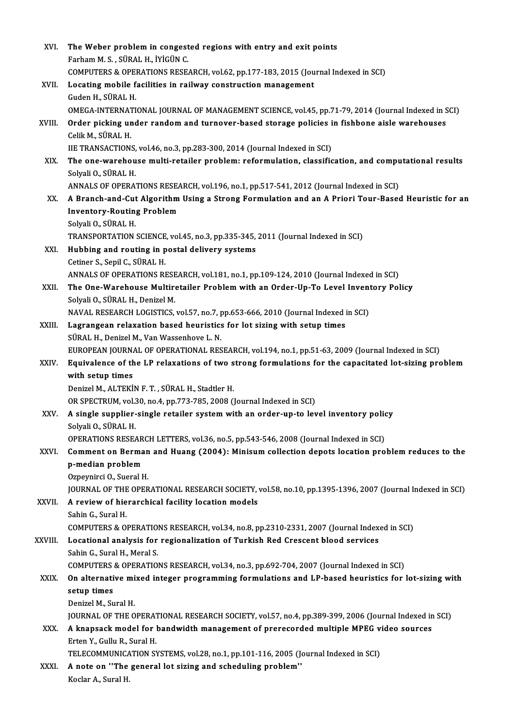| XVI.    | The Weber problem in congested regions with entry and exit points                                                                                                            |
|---------|------------------------------------------------------------------------------------------------------------------------------------------------------------------------------|
|         | Farham M. S., SÜRAL H., İYİGÜN C.                                                                                                                                            |
|         | COMPUTERS & OPERATIONS RESEARCH, vol.62, pp.177-183, 2015 (Journal Indexed in SCI)                                                                                           |
| XVII.   | Locating mobile facilities in railway construction management                                                                                                                |
|         | Guden H., SÜRAL H.                                                                                                                                                           |
|         | OMEGA-INTERNATIONAL JOURNAL OF MANAGEMENT SCIENCE, vol.45, pp.71-79, 2014 (Journal Indexed in SCI)                                                                           |
| XVIII.  | Order picking under random and turnover-based storage policies in fishbone aisle warehouses                                                                                  |
|         | Celik M, SÜRAL H                                                                                                                                                             |
|         | IIE TRANSACTIONS, vol.46, no.3, pp.283-300, 2014 (Journal Indexed in SCI)                                                                                                    |
| XIX.    | The one-warehouse multi-retailer problem: reformulation, classification, and computational results                                                                           |
|         | Solyali O., SÜRAL H.                                                                                                                                                         |
|         | ANNALS OF OPERATIONS RESEARCH, vol.196, no.1, pp.517-541, 2012 (Journal Indexed in SCI)                                                                                      |
| XX.     | A Branch-and-Cut Algorithm Using a Strong Formulation and an A Priori Tour-Based Heuristic for an                                                                            |
|         | <b>Inventory-Routing Problem</b><br>Solyali O., SÜRAL H.                                                                                                                     |
|         | TRANSPORTATION SCIENCE, vol.45, no.3, pp.335-345, 2011 (Journal Indexed in SCI)                                                                                              |
| XXI.    | Hubbing and routing in postal delivery systems                                                                                                                               |
|         | Cetiner S., Sepil C., SÜRAL H.                                                                                                                                               |
|         | ANNALS OF OPERATIONS RESEARCH, vol.181, no.1, pp.109-124, 2010 (Journal Indexed in SCI)                                                                                      |
| XXII.   | The One-Warehouse Multiretailer Problem with an Order-Up-To Level Inventory Policy                                                                                           |
|         | Solyali O., SÜRAL H., Denizel M.                                                                                                                                             |
|         | NAVAL RESEARCH LOGISTICS, vol.57, no.7, pp.653-666, 2010 (Journal Indexed in SCI)                                                                                            |
| XXIII.  | Lagrangean relaxation based heuristics for lot sizing with setup times                                                                                                       |
|         | SÜRAL H., Denizel M., Van Wassenhove L. N.                                                                                                                                   |
|         | EUROPEAN JOURNAL OF OPERATIONAL RESEARCH, vol.194, no.1, pp.51-63, 2009 (Journal Indexed in SCI)                                                                             |
| XXIV.   | Equivalence of the LP relaxations of two strong formulations for the capacitated lot-sizing problem<br>with setup times                                                      |
|         | Denizel M., ALTEKİN F. T., SÜRAL H., Stadtler H.                                                                                                                             |
|         | OR SPECTRUM, vol.30, no.4, pp.773-785, 2008 (Journal Indexed in SCI)                                                                                                         |
| XXV.    | A single supplier-single retailer system with an order-up-to level inventory policy                                                                                          |
|         | Solyali O., SÜRAL H.                                                                                                                                                         |
|         | OPERATIONS RESEARCH LETTERS, vol.36, no.5, pp.543-546, 2008 (Journal Indexed in SCI)                                                                                         |
| XXVI.   | Comment on Berman and Huang (2004): Minisum collection depots location problem reduces to the                                                                                |
|         | p-median problem                                                                                                                                                             |
|         | Ozpeynirci O., Sueral H.                                                                                                                                                     |
|         | JOURNAL OF THE OPERATIONAL RESEARCH SOCIETY, vol.58, no.10, pp.1395-1396, 2007 (Journal Indexed in SCI)                                                                      |
| XXVII.  | A review of hierarchical facility location models                                                                                                                            |
|         | Sahin G., Sural H.                                                                                                                                                           |
| XXVIII. | COMPUTERS & OPERATIONS RESEARCH, vol.34, no.8, pp.2310-2331, 2007 (Journal Indexed in SCI)<br>Locational analysis for regionalization of Turkish Red Crescent blood services |
|         | Sahin G., Sural H., Meral S.                                                                                                                                                 |
|         | COMPUTERS & OPERATIONS RESEARCH, vol.34, no.3, pp.692-704, 2007 (Journal Indexed in SCI)                                                                                     |
| XXIX.   | On alternative mixed integer programming formulations and LP-based heuristics for lot-sizing with                                                                            |
|         | setup times                                                                                                                                                                  |
|         | Denizel M., Sural H.                                                                                                                                                         |
|         | JOURNAL OF THE OPERATIONAL RESEARCH SOCIETY, vol.57, no.4, pp.389-399, 2006 (Journal Indexed in SCI)                                                                         |
| XXX.    | A knapsack model for bandwidth management of prerecorded multiple MPEG video sources                                                                                         |
|         | Erten Y., Gullu R., Sural H.                                                                                                                                                 |
|         | TELECOMMUNICATION SYSTEMS, vol.28, no.1, pp.101-116, 2005 (Journal Indexed in SCI)                                                                                           |
| XXXI.   | A note on "The general lot sizing and scheduling problem"                                                                                                                    |
|         | Koclar A., Sural H.                                                                                                                                                          |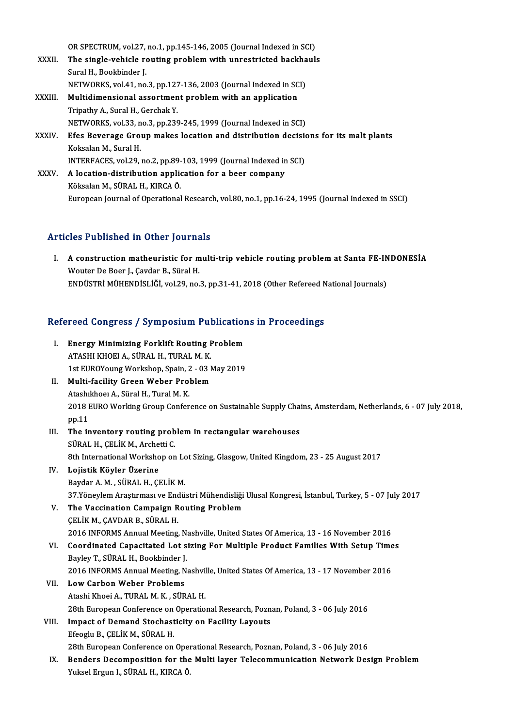OR SPECTRUM, vol.27, no.1, pp.145-146, 2005 (Journal Indexed in SCI)<br>The single vehicle reuting preblem with unpectricted beskhevly

OR SPECTRUM, vol.27, no.1, pp.145-146, 2005 (Journal Indexed in SCI)<br>XXXII. The single-vehicle routing problem with unrestricted backhauls<br>Surel H. Bookhinder I OR SPECTRUM, vol.27,<br>The single-vehicle re<br>Sural H., Bookbinder J.<br>NETWORKS vol.41, no The single-vehicle routing problem with unrestricted backha<br>Sural H., Bookbinder J.<br>NETWORKS, vol.41, no.3, pp.127-136, 2003 (Journal Indexed in SCI)<br>Multidimensional assortment problem with an application Sural H., Bookbinder J.<br>NETWORKS, vol.41, no.3, pp.127-136, 2003 (Journal Indexed in SC<br>XXXIII. Multidimensional assortment problem with an application<br>Trinathy A. Sural H. Corchak Y. **NETWORKS, vol.41, no.3, pp.127**<br>**Multidimensional assortmen**<br>Tripathy A., Sural H., Gerchak Y.<br>NETWORKS, vol.33, no.3, nn.326 Multidimensional assortment problem with an application<br>Tripathy A., Sural H., Gerchak Y.<br>NETWORKS, vol.33, no.3, pp.239-245, 1999 (Journal Indexed in SCI)<br>Ffes Beyerage Croup makes legation and distribution desisie Tripathy A., Sural H., Gerchak Y.<br>NETWORKS, vol.33, no.3, pp.239-245, 1999 (Journal Indexed in SCI)<br>XXXIV. Efes Beverage Group makes location and distribution decisions for its malt plants<br>Koksalan M., Sural H. NETWORKS, vol.33, n<br><mark>Efes Beverage Gro</mark><br>Koksalan M., Sural H.<br>INTEREACES, vol.29 Efes Beverage Group makes location and distribution decision<br>Koksalan M., Sural H.<br>INTERFACES, vol.29, no.2, pp.89-103, 1999 (Journal Indexed in SCI) Koksalan M., Sural H.<br>INTERFACES, vol.29, no.2, pp.89-103, 1999 (Journal Indexed in<br>XXXV. A location-distribution application for a beer company<br>Esikolan M. SÜPAL H. KIPCA Ö INTERFACES, vol.29, no.2, pp.89-<br>A location-distribution applic<br>Köksalan M., SÜRAL H., KIRCA Ö.<br>Euronean Journal of Operational A location-distribution application for a beer company<br>Köksalan M., SÜRAL H., KIRCA Ö.<br>European Journal of Operational Research, vol.80, no.1, pp.16-24, 1995 (Journal Indexed in SSCI)

# Articles Published in Other Journals

rticles Published in Other Journals<br>I. A construction matheuristic for multi-trip vehicle routing problem at Santa FE-INDONESİA<br>Weyter De Been L Caydar B. Sünal H Monter Theory Carlos Press Pressure<br>A construction matheuristic for m<br>Wouter De Boer J., Çavdar B., Süral H.<br>ENDÜSTRİ MÜHENDİSI İĞİ 132.0 P. Wouter De Boer J., Çavdar B., Süral H.<br>ENDÜSTRİ MÜHENDİSLİĞİ, vol.29, no.3, pp.31-41, 2018 (Other Refereed National Journals)

# enposiki monenpistici, vol.29, no.3, pp.31-41, 2016 (other keiereed in Refereed Congress / Symposium Publications in Proceedings

| Refereed Congress / Symposium Publications in Proceedings |                                                                                                            |  |
|-----------------------------------------------------------|------------------------------------------------------------------------------------------------------------|--|
| L.                                                        | <b>Energy Minimizing Forklift Routing Problem</b>                                                          |  |
|                                                           | ATASHI KHOEI A., SÜRAL H., TURAL M. K.                                                                     |  |
|                                                           | 1st EUROYoung Workshop, Spain, 2 - 03 May 2019                                                             |  |
| II.                                                       | <b>Multi-facility Green Weber Problem</b>                                                                  |  |
|                                                           | Atashıkhoei A., Süral H., Tural M. K.                                                                      |  |
|                                                           | 2018 EURO Working Group Conference on Sustainable Supply Chains, Amsterdam, Netherlands, 6 - 07 July 2018, |  |
|                                                           | pp.11                                                                                                      |  |
| III.                                                      | The inventory routing problem in rectangular warehouses                                                    |  |
|                                                           | SÜRAL H., ÇELİK M., Archetti C.                                                                            |  |
|                                                           | 8th International Workshop on Lot Sizing, Glasgow, United Kingdom, 23 - 25 August 2017                     |  |
| IV.                                                       | Lojistik Köyler Üzerine                                                                                    |  |
|                                                           | Baydar A. M., SÜRAL H., ÇELİK M.                                                                           |  |
|                                                           | 37 Yöneylem Araştırması ve Endüstri Mühendisliği Ulusal Kongresi, İstanbul, Turkey, 5 - 07 July 2017       |  |
| V.                                                        | The Vaccination Campaign Routing Problem                                                                   |  |
|                                                           | ÇELİK M., ÇAVDAR B., SÜRAL H.                                                                              |  |
|                                                           | 2016 INFORMS Annual Meeting, Nashville, United States Of America, 13 - 16 November 2016                    |  |
| VI.                                                       | Coordinated Capacitated Lot sizing For Multiple Product Families With Setup Times                          |  |
|                                                           | Bayley T., SÜRAL H., Bookbinder J.                                                                         |  |
|                                                           | 2016 INFORMS Annual Meeting, Nashville, United States Of America, 13 - 17 November 2016                    |  |
| VII.                                                      | <b>Low Carbon Weber Problems</b>                                                                           |  |
|                                                           | Atashi Khoei A., TURAL M. K., SÜRAL H.                                                                     |  |
|                                                           | 28th European Conference on Operational Research, Poznan, Poland, 3 - 06 July 2016                         |  |
| VIII.                                                     | Impact of Demand Stochasticity on Facility Layouts                                                         |  |
|                                                           | Efeoglu B., CELİK M., SÜRAL H.                                                                             |  |
|                                                           | 28th European Conference on Operational Research, Poznan, Poland, 3 - 06 July 2016                         |  |
| IX.                                                       | Benders Decomposition for the Multi layer Telecommunication Network Design Problem                         |  |
|                                                           | Yuksel Ergun I., SÜRAL H., KIRCA Ö.                                                                        |  |